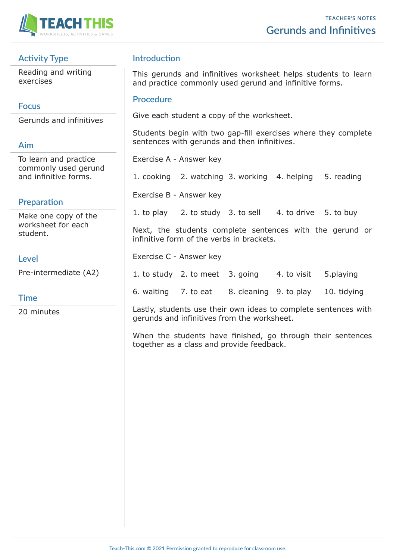

# **Activity Type**

Reading and writing exercises

# **Focus**

Gerunds and infinitives

# **Aim**

To learn and practice commonly used gerund and infinitive forms.

# **Preparation**

Make one copy of the worksheet for each student.

### **Level**

Pre-intermediate (A2)

### **Time**

20 minutes

# **Introduction**

This gerunds and infinitives worksheet helps students to learn and practice commonly used gerund and infinitive forms.

#### **Procedure**

Give each student a copy of the worksheet.

Students begin with two gap-fill exercises where they complete sentences with gerunds and then infinitives.

Exercise A - Answer key

1. cooking 2. watching 3. working 4. helping 5. reading

Exercise B - Answer key

1. to play  $2.$  to study 3. to sell  $4.$  to drive  $5.$  to buy

Next, the students complete sentences with the gerund or infinitive form of the verbs in brackets.

Exercise C - Answer key

1. to study 2. to meet 3. going 4. to visit 5.playing

6. waiting 7. to eat 8. cleaning 9. to play 10. tidying

Lastly, students use their own ideas to complete sentences with gerunds and infinitives from the worksheet.

When the students have finished, go through their sentences together as a class and provide feedback.